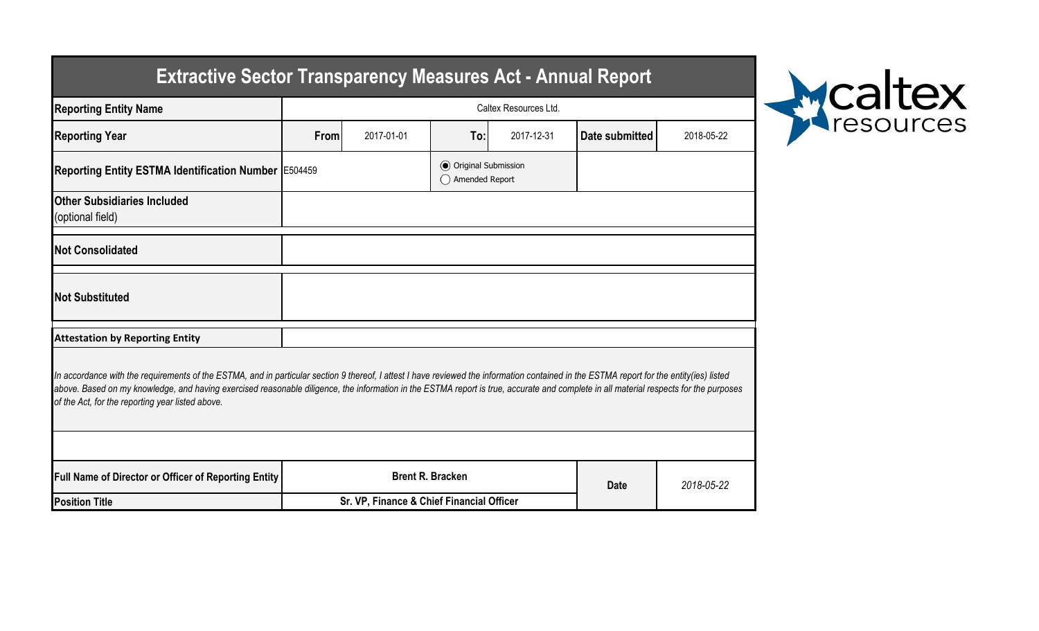| Extractive Sector Transparency Measures Act - Annual Report                                                                                                                                                                                                                                                                                                                                                                           |                                           |                         |                                                |            |                |            |  |  |  |  |  |
|---------------------------------------------------------------------------------------------------------------------------------------------------------------------------------------------------------------------------------------------------------------------------------------------------------------------------------------------------------------------------------------------------------------------------------------|-------------------------------------------|-------------------------|------------------------------------------------|------------|----------------|------------|--|--|--|--|--|
| <b>Reporting Entity Name</b>                                                                                                                                                                                                                                                                                                                                                                                                          | Caltex Resources Ltd.                     |                         |                                                |            |                |            |  |  |  |  |  |
| <b>Reporting Year</b>                                                                                                                                                                                                                                                                                                                                                                                                                 | 2017-01-01<br>From                        |                         | 2017-12-31<br>To:                              |            | Date submitted | 2018-05-22 |  |  |  |  |  |
| Reporting Entity ESTMA Identification Number E504459                                                                                                                                                                                                                                                                                                                                                                                  |                                           |                         | <b>● Original Submission</b><br>Amended Report |            |                |            |  |  |  |  |  |
| <b>Other Subsidiaries Included</b><br>(optional field)                                                                                                                                                                                                                                                                                                                                                                                |                                           |                         |                                                |            |                |            |  |  |  |  |  |
| <b>Not Consolidated</b>                                                                                                                                                                                                                                                                                                                                                                                                               |                                           |                         |                                                |            |                |            |  |  |  |  |  |
| <b>Not Substituted</b>                                                                                                                                                                                                                                                                                                                                                                                                                |                                           |                         |                                                |            |                |            |  |  |  |  |  |
| <b>Attestation by Reporting Entity</b>                                                                                                                                                                                                                                                                                                                                                                                                |                                           |                         |                                                |            |                |            |  |  |  |  |  |
| In accordance with the requirements of the ESTMA, and in particular section 9 thereof, I attest I have reviewed the information contained in the ESTMA report for the entity(ies) listed<br>above. Based on my knowledge, and having exercised reasonable diligence, the information in the ESTMA report is true, accurate and complete in all material respects for the purposes<br>of the Act, for the reporting year listed above. |                                           |                         |                                                |            |                |            |  |  |  |  |  |
|                                                                                                                                                                                                                                                                                                                                                                                                                                       |                                           |                         |                                                |            |                |            |  |  |  |  |  |
| <b>Full Name of Director or Officer of Reporting Entity</b>                                                                                                                                                                                                                                                                                                                                                                           |                                           | <b>Brent R. Bracken</b> | <b>Date</b>                                    | 2018-05-22 |                |            |  |  |  |  |  |
| <b>Position Title</b>                                                                                                                                                                                                                                                                                                                                                                                                                 | Sr. VP, Finance & Chief Financial Officer |                         |                                                |            |                |            |  |  |  |  |  |



## **Extractive Sector Transparency Measures Act - Annual Report**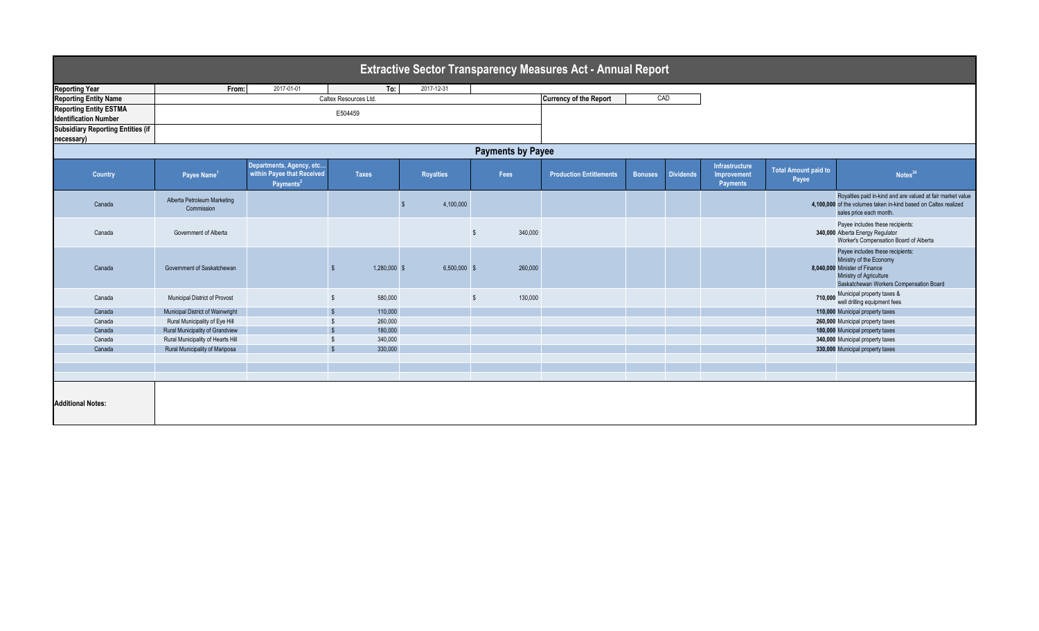| <b>Extractive Sector Transparency Measures Act - Annual Report</b> |                                           |                                                                                 |                         |                  |                      |                                |                |                  |                                           |                                      |                                                                                                                                                                    |
|--------------------------------------------------------------------|-------------------------------------------|---------------------------------------------------------------------------------|-------------------------|------------------|----------------------|--------------------------------|----------------|------------------|-------------------------------------------|--------------------------------------|--------------------------------------------------------------------------------------------------------------------------------------------------------------------|
| <b>Reporting Year</b>                                              | From:                                     | 2017-01-01                                                                      | To:                     | 2017-12-31       |                      |                                |                |                  |                                           |                                      |                                                                                                                                                                    |
| <b>Reporting Entity Name</b>                                       |                                           |                                                                                 | Caltex Resources Ltd.   |                  |                      | <b>Currency of the Report</b>  | CAD            |                  |                                           |                                      |                                                                                                                                                                    |
| <b>Reporting Entity ESTMA</b><br><b>Identification Number</b>      |                                           |                                                                                 |                         |                  |                      |                                |                |                  |                                           |                                      |                                                                                                                                                                    |
| <b>Subsidiary Reporting Entities (if</b><br>necessary)             |                                           |                                                                                 |                         |                  |                      |                                |                |                  |                                           |                                      |                                                                                                                                                                    |
| <b>Payments by Payee</b>                                           |                                           |                                                                                 |                         |                  |                      |                                |                |                  |                                           |                                      |                                                                                                                                                                    |
| Country                                                            | Payee Name <sup>1</sup>                   | Departments, Agency, etc<br>within Payee that Received<br>Payments <sup>2</sup> | <b>Taxes</b>            | <b>Royalties</b> | Fees                 | <b>Production Entitlements</b> | <b>Bonuses</b> | <b>Dividends</b> | Infrastructure<br>Improvement<br>Payments | <b>Total Amount paid to</b><br>Payee | Notes <sup>34</sup>                                                                                                                                                |
| Canada                                                             | Alberta Petroleum Marketing<br>Commission |                                                                                 |                         | 4,100,000        |                      |                                |                |                  |                                           |                                      | Royalties paid in-kind and are valued at fair market value<br>4,100,000 of the volumes taken in-kind based on Caltex realized<br>sales price each month.           |
| Canada                                                             | Government of Alberta                     |                                                                                 |                         |                  | 340,000              |                                |                |                  |                                           |                                      | Payee includes these recipients:<br>340,000 Alberta Energy Regulator<br>Worker's Compensation Board of Alberta                                                     |
| Canada                                                             | Government of Saskatchewan                |                                                                                 | 1,280,000 \$            | $6,500,000$ \$   | 260,000              |                                |                |                  |                                           |                                      | Payee includes these recipients:<br>Ministry of the Economy<br>8,040,000 Minister of Finance<br>Ministry of Agriculture<br>Saskatchewan Workers Compensation Board |
| Canada                                                             | Municipal District of Provost             |                                                                                 | 580,000<br>$\mathbf{s}$ |                  | 130,000<br><b>.s</b> |                                |                |                  |                                           | 710.000                              | Municipal property taxes &<br>well drilling equipment fees                                                                                                         |
| Canada                                                             | Municipal District of Wainwright          |                                                                                 | 110,000                 |                  |                      |                                |                |                  |                                           |                                      | 110,000 Municipal property taxes                                                                                                                                   |
| Canada                                                             | Rural Municipality of Eye Hill            |                                                                                 | 260,000                 |                  |                      |                                |                |                  |                                           |                                      | 260,000 Municipal property taxes                                                                                                                                   |
| Canada                                                             | Rural Municipality of Grandview           |                                                                                 | 180,000                 |                  |                      |                                |                |                  |                                           |                                      | 180,000 Municipal property taxes                                                                                                                                   |
| Canada                                                             | Rural Municipality of Hearts Hill         |                                                                                 | 340,000                 |                  |                      |                                |                |                  |                                           |                                      | 340,000 Municipal property taxes                                                                                                                                   |
| Canada                                                             | Rural Municipality of Mariposa            |                                                                                 | 330,000                 |                  |                      |                                |                |                  |                                           |                                      | 330,000 Municipal property taxes                                                                                                                                   |
|                                                                    |                                           |                                                                                 |                         |                  |                      |                                |                |                  |                                           |                                      |                                                                                                                                                                    |
|                                                                    |                                           |                                                                                 |                         |                  |                      |                                |                |                  |                                           |                                      |                                                                                                                                                                    |
|                                                                    |                                           |                                                                                 |                         |                  |                      |                                |                |                  |                                           |                                      |                                                                                                                                                                    |
| <b>Additional Notes:</b>                                           |                                           |                                                                                 |                         |                  |                      |                                |                |                  |                                           |                                      |                                                                                                                                                                    |